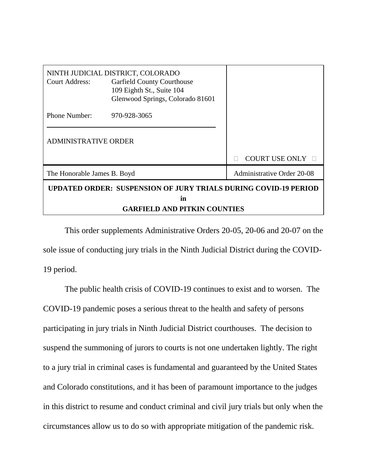| <b>Court Address:</b>                                                        | NINTH JUDICIAL DISTRICT, COLORADO<br><b>Garfield County Courthouse</b><br>109 Eighth St., Suite 104<br>Glenwood Springs, Colorado 81601 |                            |
|------------------------------------------------------------------------------|-----------------------------------------------------------------------------------------------------------------------------------------|----------------------------|
| Phone Number:                                                                | 970-928-3065                                                                                                                            |                            |
| <b>ADMINISTRATIVE ORDER</b>                                                  |                                                                                                                                         |                            |
|                                                                              |                                                                                                                                         | <b>COURT USE ONLY</b>      |
| The Honorable James B. Boyd                                                  |                                                                                                                                         | Administrative Order 20-08 |
| <b>UPDATED ORDER: SUSPENSION OF JURY TRIALS DURING COVID-19 PERIOD</b><br>in |                                                                                                                                         |                            |
| <b>GARFIELD AND PITKIN COUNTIES</b>                                          |                                                                                                                                         |                            |

This order supplements Administrative Orders 20-05, 20-06 and 20-07 on the sole issue of conducting jury trials in the Ninth Judicial District during the COVID-19 period.

The public health crisis of COVID-19 continues to exist and to worsen. The COVID-19 pandemic poses a serious threat to the health and safety of persons participating in jury trials in Ninth Judicial District courthouses. The decision to suspend the summoning of jurors to courts is not one undertaken lightly. The right to a jury trial in criminal cases is fundamental and guaranteed by the United States and Colorado constitutions, and it has been of paramount importance to the judges in this district to resume and conduct criminal and civil jury trials but only when the circumstances allow us to do so with appropriate mitigation of the pandemic risk.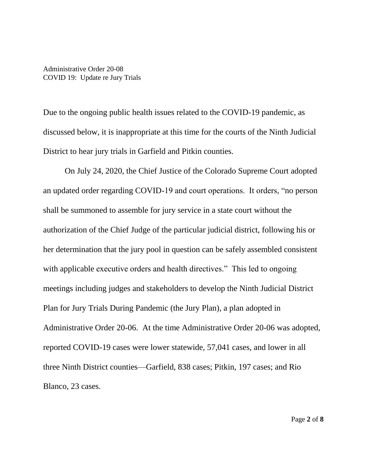Due to the ongoing public health issues related to the COVID-19 pandemic, as discussed below, it is inappropriate at this time for the courts of the Ninth Judicial District to hear jury trials in Garfield and Pitkin counties.

On July 24, 2020, the Chief Justice of the Colorado Supreme Court adopted an updated order regarding COVID-19 and court operations. It orders, "no person shall be summoned to assemble for jury service in a state court without the authorization of the Chief Judge of the particular judicial district, following his or her determination that the jury pool in question can be safely assembled consistent with applicable executive orders and health directives." This led to ongoing meetings including judges and stakeholders to develop the Ninth Judicial District Plan for Jury Trials During Pandemic (the Jury Plan), a plan adopted in Administrative Order 20-06. At the time Administrative Order 20-06 was adopted, reported COVID-19 cases were lower statewide, 57,041 cases, and lower in all three Ninth District counties—Garfield, 838 cases; Pitkin, 197 cases; and Rio Blanco, 23 cases.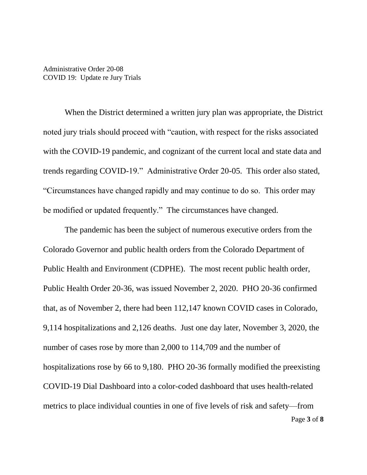When the District determined a written jury plan was appropriate, the District noted jury trials should proceed with "caution, with respect for the risks associated with the COVID-19 pandemic, and cognizant of the current local and state data and trends regarding COVID-19." Administrative Order 20-05. This order also stated, "Circumstances have changed rapidly and may continue to do so. This order may be modified or updated frequently." The circumstances have changed.

Page **3** of **8** The pandemic has been the subject of numerous executive orders from the Colorado Governor and public health orders from the Colorado Department of Public Health and Environment (CDPHE). The most recent public health order, Public Health Order 20-36, was issued November 2, 2020. PHO 20-36 confirmed that, as of November 2, there had been 112,147 known COVID cases in Colorado, 9,114 hospitalizations and 2,126 deaths. Just one day later, November 3, 2020, the number of cases rose by more than 2,000 to 114,709 and the number of hospitalizations rose by 66 to 9,180. PHO 20-36 formally modified the preexisting COVID-19 Dial Dashboard into a color-coded dashboard that uses health-related metrics to place individual counties in one of five levels of risk and safety—from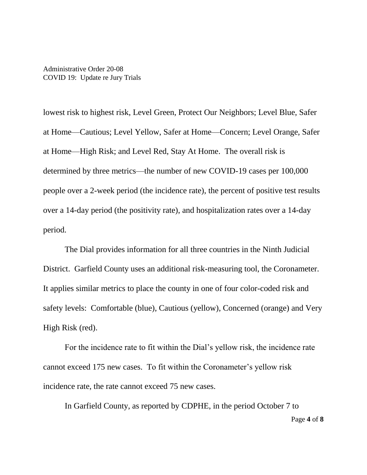lowest risk to highest risk, Level Green, Protect Our Neighbors; Level Blue, Safer at Home—Cautious; Level Yellow, Safer at Home—Concern; Level Orange, Safer at Home—High Risk; and Level Red, Stay At Home. The overall risk is determined by three metrics—the number of new COVID-19 cases per 100,000 people over a 2-week period (the incidence rate), the percent of positive test results over a 14-day period (the positivity rate), and hospitalization rates over a 14-day period.

The Dial provides information for all three countries in the Ninth Judicial District. Garfield County uses an additional risk-measuring tool, the Coronameter. It applies similar metrics to place the county in one of four color-coded risk and safety levels: Comfortable (blue), Cautious (yellow), Concerned (orange) and Very High Risk (red).

For the incidence rate to fit within the Dial's yellow risk, the incidence rate cannot exceed 175 new cases. To fit within the Coronameter's yellow risk incidence rate, the rate cannot exceed 75 new cases.

Page **4** of **8** In Garfield County, as reported by CDPHE, in the period October 7 to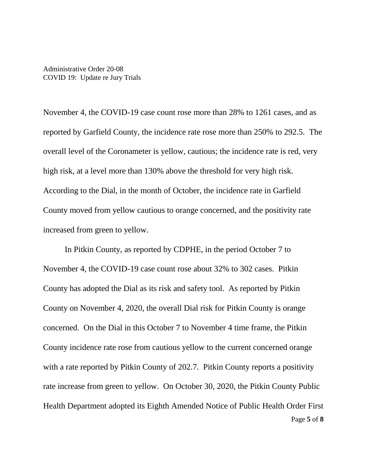November 4, the COVID-19 case count rose more than 28% to 1261 cases, and as reported by Garfield County, the incidence rate rose more than 250% to 292.5. The overall level of the Coronameter is yellow, cautious; the incidence rate is red, very high risk, at a level more than 130% above the threshold for very high risk. According to the Dial, in the month of October, the incidence rate in Garfield County moved from yellow cautious to orange concerned, and the positivity rate increased from green to yellow.

Page **5** of **8** In Pitkin County, as reported by CDPHE, in the period October 7 to November 4, the COVID-19 case count rose about 32% to 302 cases. Pitkin County has adopted the Dial as its risk and safety tool. As reported by Pitkin County on November 4, 2020, the overall Dial risk for Pitkin County is orange concerned. On the Dial in this October 7 to November 4 time frame, the Pitkin County incidence rate rose from cautious yellow to the current concerned orange with a rate reported by Pitkin County of 202.7. Pitkin County reports a positivity rate increase from green to yellow. On October 30, 2020, the Pitkin County Public Health Department adopted its Eighth Amended Notice of Public Health Order First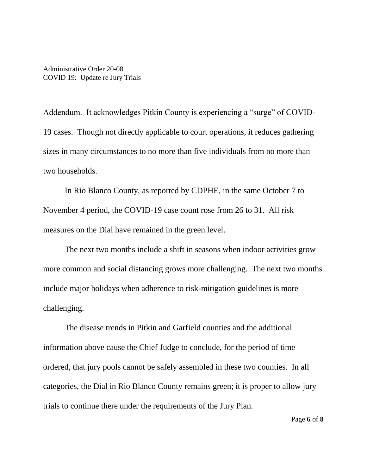Addendum. It acknowledges Pitkin County is experiencing a "surge" of COVID-19 cases. Though not directly applicable to court operations, it reduces gathering sizes in many circumstances to no more than five individuals from no more than two households.

In Rio Blanco County, as reported by CDPHE, in the same October 7 to November 4 period, the COVID-19 case count rose from 26 to 31. All risk measures on the Dial have remained in the green level.

The next two months include a shift in seasons when indoor activities grow more common and social distancing grows more challenging. The next two months include major holidays when adherence to risk-mitigation guidelines is more challenging.

The disease trends in Pitkin and Garfield counties and the additional information above cause the Chief Judge to conclude, for the period of time ordered, that jury pools cannot be safely assembled in these two counties. In all categories, the Dial in Rio Blanco County remains green; it is proper to allow jury trials to continue there under the requirements of the Jury Plan.

Page **6** of **8**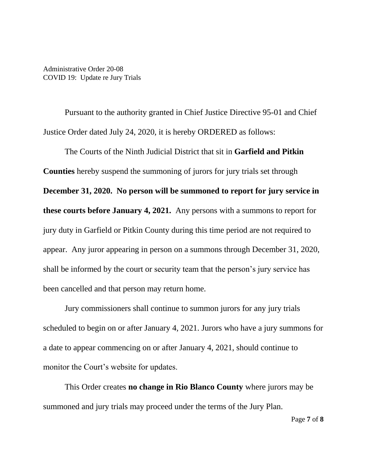Pursuant to the authority granted in Chief Justice Directive 95-01 and Chief Justice Order dated July 24, 2020, it is hereby ORDERED as follows:

The Courts of the Ninth Judicial District that sit in **Garfield and Pitkin Counties** hereby suspend the summoning of jurors for jury trials set through **December 31, 2020. No person will be summoned to report for jury service in these courts before January 4, 2021.** Any persons with a summons to report for jury duty in Garfield or Pitkin County during this time period are not required to appear. Any juror appearing in person on a summons through December 31, 2020, shall be informed by the court or security team that the person's jury service has been cancelled and that person may return home.

Jury commissioners shall continue to summon jurors for any jury trials scheduled to begin on or after January 4, 2021. Jurors who have a jury summons for a date to appear commencing on or after January 4, 2021, should continue to monitor the Court's website for updates.

This Order creates **no change in Rio Blanco County** where jurors may be summoned and jury trials may proceed under the terms of the Jury Plan.

Page **7** of **8**